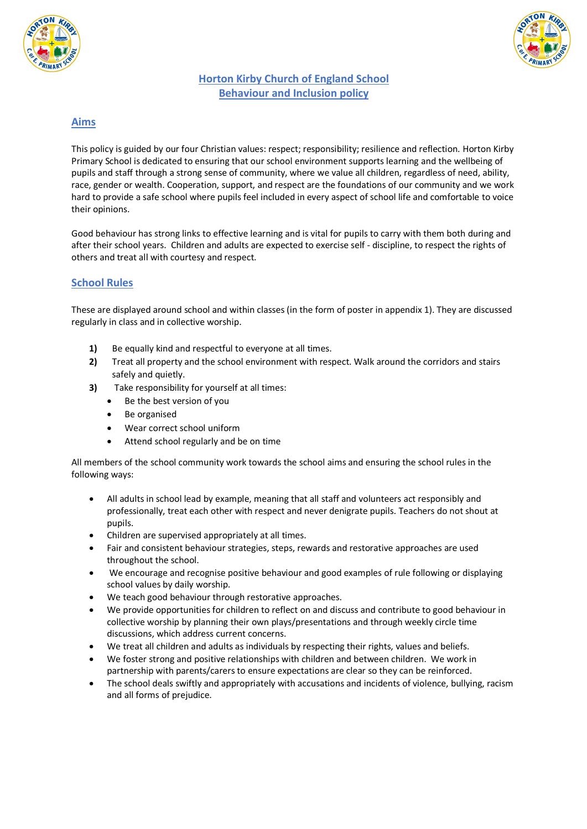



#### **Horton Kirby Church of England School Behaviour and Inclusion policy**

#### **Aims**

This policy is guided by our four Christian values: respect; responsibility; resilience and reflection. Horton Kirby Primary School is dedicated to ensuring that our school environment supports learning and the wellbeing of pupils and staff through a strong sense of community, where we value all children, regardless of need, ability, race, gender or wealth. Cooperation, support, and respect are the foundations of our community and we work hard to provide a safe school where pupils feel included in every aspect of school life and comfortable to voice their opinions.

Good behaviour has strong links to effective learning and is vital for pupils to carry with them both during and after their school years. Children and adults are expected to exercise self - discipline, to respect the rights of others and treat all with courtesy and respect.

#### **School Rules**

These are displayed around school and within classes (in the form of poster in appendix 1). They are discussed regularly in class and in collective worship.

- **1)** Be equally kind and respectful to everyone at all times.
- **2)** Treat all property and the school environment with respect. Walk around the corridors and stairs safely and quietly.
- **3)** Take responsibility for yourself at all times:
	- Be the best version of you
	- Be organised
	- Wear correct school uniform
	- Attend school regularly and be on time

All members of the school community work towards the school aims and ensuring the school rules in the following ways:

- All adults in school lead by example, meaning that all staff and volunteers act responsibly and professionally, treat each other with respect and never denigrate pupils. Teachers do not shout at pupils.
- Children are supervised appropriately at all times.
- Fair and consistent behaviour strategies, steps, rewards and restorative approaches are used throughout the school.
- We encourage and recognise positive behaviour and good examples of rule following or displaying school values by daily worship.
- We teach good behaviour through restorative approaches.
- We provide opportunities for children to reflect on and discuss and contribute to good behaviour in collective worship by planning their own plays/presentations and through weekly circle time discussions, which address current concerns.
- We treat all children and adults as individuals by respecting their rights, values and beliefs.
- We foster strong and positive relationships with children and between children. We work in partnership with parents/carers to ensure expectations are clear so they can be reinforced.
- The school deals swiftly and appropriately with accusations and incidents of violence, bullying, racism and all forms of prejudice.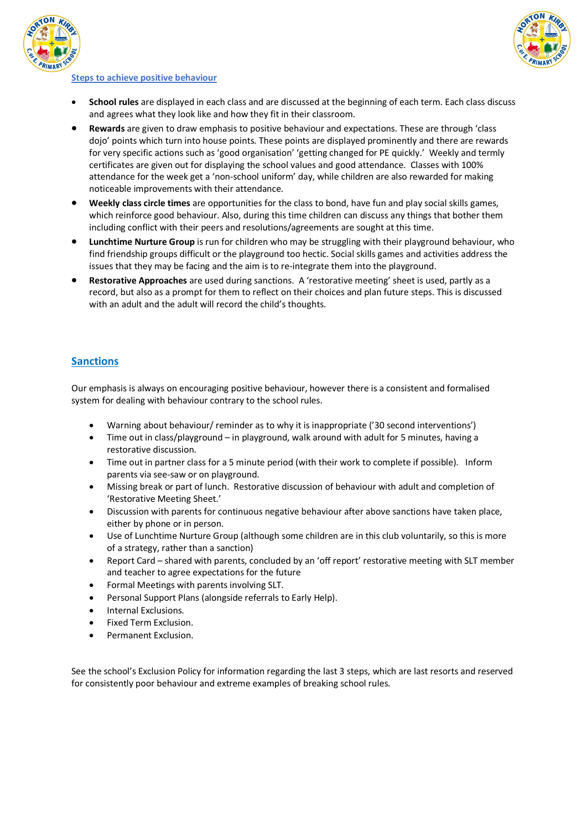



#### **Steps to achieve positive behaviour**

- **School rules** are displayed in each class and are discussed at the beginning of each term. Each class discuss and agrees what they look like and how they fit in their classroom.
- **Rewards** are given to draw emphasis to positive behaviour and expectations. These are through 'class dojo' points which turn into house points. These points are displayed prominently and there are rewards for very specific actions such as 'good organisation' 'getting changed for PE quickly.' Weekly and termly certificates are given out for displaying the school values and good attendance. Classes with 100% attendance for the week get a 'non-school uniform' day, while children are also rewarded for making noticeable improvements with their attendance.
- **Weekly class circle times** are opportunities for the class to bond, have fun and play social skills games, which reinforce good behaviour. Also, during this time children can discuss any things that bother them including conflict with their peers and resolutions/agreements are sought at this time.
- **Lunchtime Nurture Group** is run for children who may be struggling with their playground behaviour, who find friendship groups difficult or the playground too hectic. Social skills games and activities address the issues that they may be facing and the aim is to re-integrate them into the playground.
- **Restorative Approaches** are used during sanctions. A 'restorative meeting' sheet is used, partly as a record, but also as a prompt for them to reflect on their choices and plan future steps. This is discussed with an adult and the adult will record the child's thoughts.

#### **Sanctions**

Our emphasis is always on encouraging positive behaviour, however there is a consistent and formalised system for dealing with behaviour contrary to the school rules.

- Warning about behaviour/ reminder as to why it is inappropriate ('30 second interventions')
- Time out in class/playground in playground, walk around with adult for 5 minutes, having a restorative discussion.
- Time out in partner class for a 5 minute period (with their work to complete if possible). Inform parents via see-saw or on playground.
- Missing break or part of lunch. Restorative discussion of behaviour with adult and completion of 'Restorative Meeting Sheet.'
- Discussion with parents for continuous negative behaviour after above sanctions have taken place, either by phone or in person.
- Use of Lunchtime Nurture Group (although some children are in this club voluntarily, so this is more of a strategy, rather than a sanction)
- Report Card shared with parents, concluded by an 'off report' restorative meeting with SLT member and teacher to agree expectations for the future
- Formal Meetings with parents involving SLT.
- Personal Support Plans (alongside referrals to Early Help).
- Internal Exclusions.
- Fixed Term Exclusion.
- Permanent Exclusion.

See the school's Exclusion Policy for information regarding the last 3 steps, which are last resorts and reserved for consistently poor behaviour and extreme examples of breaking school rules.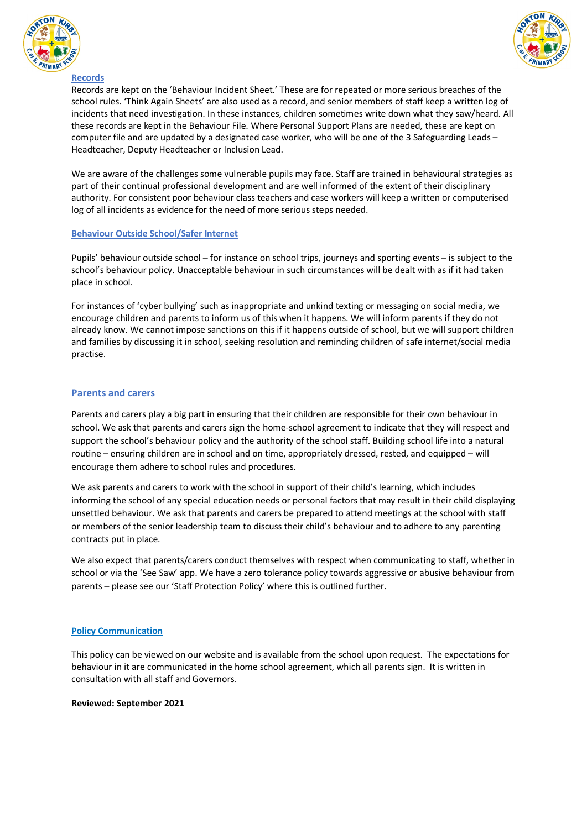



#### **Records**

Records are kept on the 'Behaviour Incident Sheet.' These are for repeated or more serious breaches of the school rules. 'Think Again Sheets' are also used as a record, and senior members of staff keep a written log of incidents that need investigation. In these instances, children sometimes write down what they saw/heard. All these records are kept in the Behaviour File. Where Personal Support Plans are needed, these are kept on computer file and are updated by a designated case worker, who will be one of the 3 Safeguarding Leads – Headteacher, Deputy Headteacher or Inclusion Lead.

We are aware of the challenges some vulnerable pupils may face. Staff are trained in behavioural strategies as part of their continual professional development and are well informed of the extent of their disciplinary authority. For consistent poor behaviour class teachers and case workers will keep a written or computerised log of all incidents as evidence for the need of more serious steps needed.

#### **Behaviour Outside School/Safer Internet**

Pupils' behaviour outside school – for instance on school trips, journeys and sporting events – is subject to the school's behaviour policy. Unacceptable behaviour in such circumstances will be dealt with as if it had taken place in school.

For instances of 'cyber bullying' such as inappropriate and unkind texting or messaging on social media, we encourage children and parents to inform us of this when it happens. We will inform parents if they do not already know. We cannot impose sanctions on this if it happens outside of school, but we will support children and families by discussing it in school, seeking resolution and reminding children of safe internet/social media practise.

#### **Parents and carers**

Parents and carers play a big part in ensuring that their children are responsible for their own behaviour in school. We ask that parents and carers sign the home-school agreement to indicate that they will respect and support the school's behaviour policy and the authority of the school staff. Building school life into a natural routine – ensuring children are in school and on time, appropriately dressed, rested, and equipped – will encourage them adhere to school rules and procedures.

We ask parents and carers to work with the school in support of their child's learning, which includes informing the school of any special education needs or personal factors that may result in their child displaying unsettled behaviour. We ask that parents and carers be prepared to attend meetings at the school with staff or members of the senior leadership team to discuss their child's behaviour and to adhere to any parenting contracts put in place.

We also expect that parents/carers conduct themselves with respect when communicating to staff, whether in school or via the 'See Saw' app. We have a zero tolerance policy towards aggressive or abusive behaviour from parents – please see our 'Staff Protection Policy' where this is outlined further.

#### **Policy Communication**

This policy can be viewed on our website and is available from the school upon request. The expectations for behaviour in it are communicated in the home school agreement, which all parents sign. It is written in consultation with all staff and Governors.

#### **Reviewed: September 2021**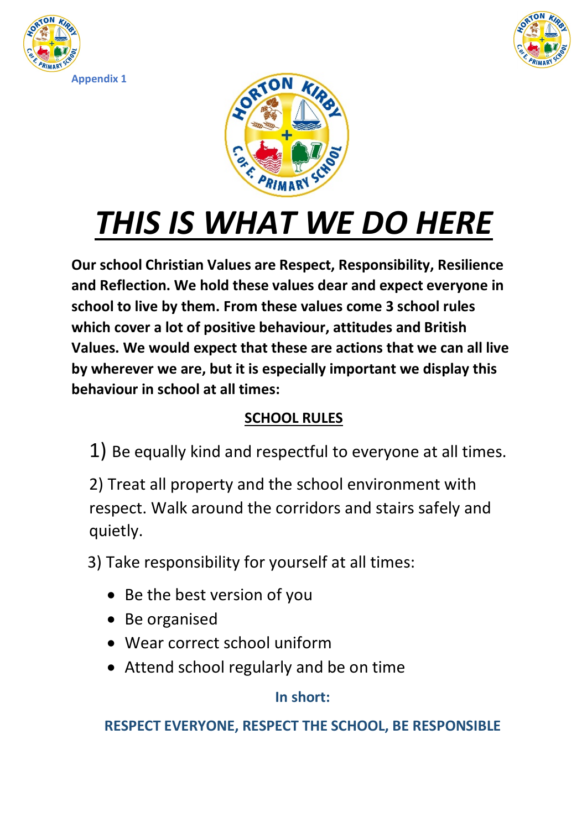





# *THIS IS WHAT WE DO HERE*

**Our school Christian Values are Respect, Responsibility, Resilience and Reflection. We hold these values dear and expect everyone in school to live by them. From these values come 3 school rules which cover a lot of positive behaviour, attitudes and British Values. We would expect that these are actions that we can all live by wherever we are, but it is especially important we display this behaviour in school at all times:**

## **SCHOOL RULES**

1) Be equally kind and respectful to everyone at all times.

2) Treat all property and the school environment with respect. Walk around the corridors and stairs safely and quietly.

3) Take responsibility for yourself at all times:

- Be the best version of you
- Be organised
- Wear correct school uniform
- Attend school regularly and be on time

## **In short:**

## **RESPECT EVERYONE, RESPECT THE SCHOOL, BE RESPONSIBLE**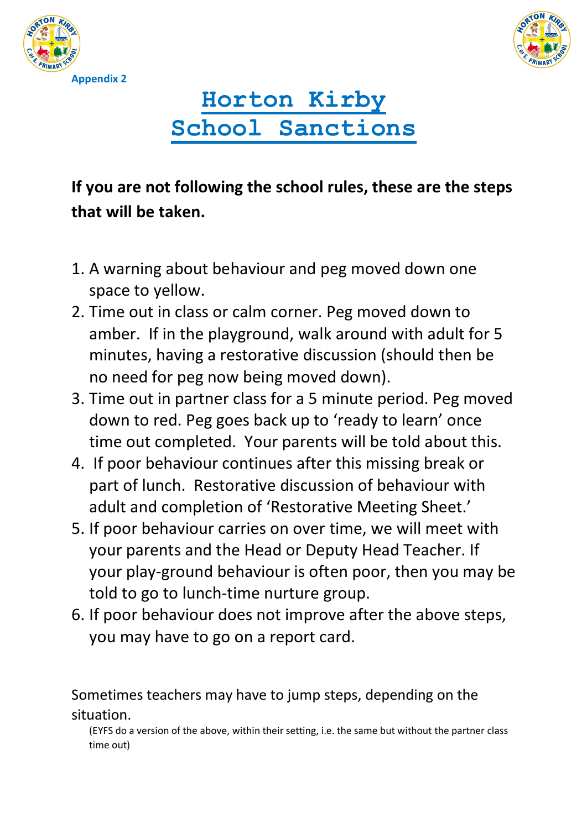



## **Horton Kirby School Sanctions**

## **If you are not following the school rules, these are the steps that will be taken.**

- 1. A warning about behaviour and peg moved down one space to yellow.
- 2. Time out in class or calm corner. Peg moved down to amber. If in the playground, walk around with adult for 5 minutes, having a restorative discussion (should then be no need for peg now being moved down).
- 3. Time out in partner class for a 5 minute period. Peg moved down to red. Peg goes back up to 'ready to learn' once time out completed. Your parents will be told about this.
- 4. If poor behaviour continues after this missing break or part of lunch. Restorative discussion of behaviour with adult and completion of 'Restorative Meeting Sheet.'
- 5. If poor behaviour carries on over time, we will meet with your parents and the Head or Deputy Head Teacher. If your play-ground behaviour is often poor, then you may be told to go to lunch-time nurture group.
- 6. If poor behaviour does not improve after the above steps, you may have to go on a report card.

Sometimes teachers may have to jump steps, depending on the situation.

(EYFS do a version of the above, within their setting, i.e. the same but without the partner class time out)